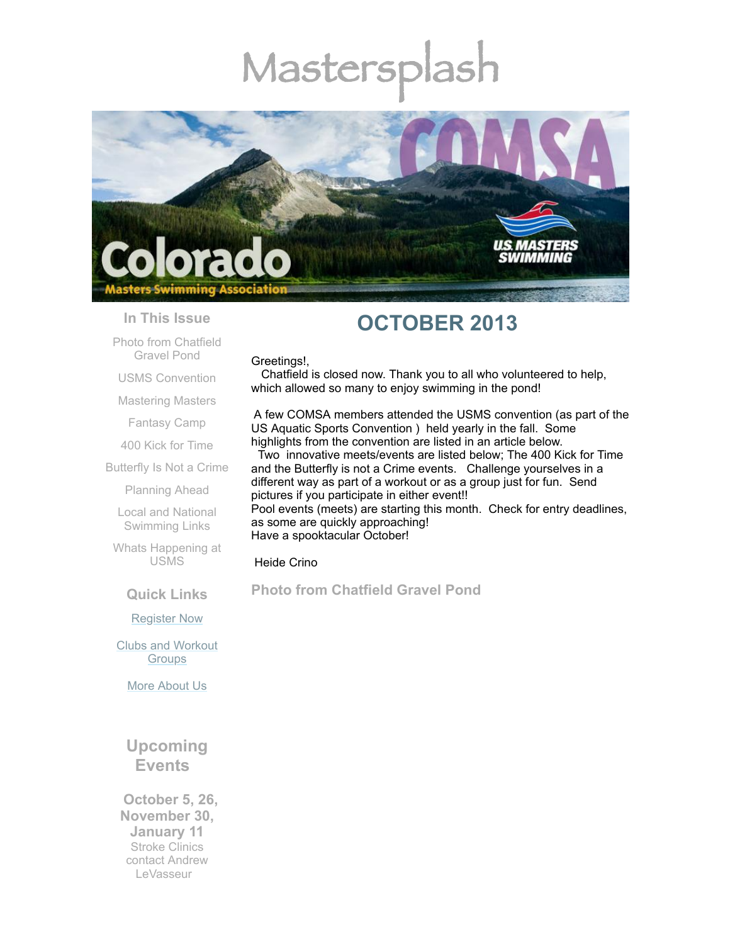# Mastersp



#### **In This Issue**

Photo from [Chatfield](#page-0-0) Gravel Pond

USMS [Convention](#page-1-0)

[Mastering](#page-2-0) Masters

[Fantasy](#page-2-1) Camp

400 Kick for [Time](#page-4-0)

[Butterfly](#page-5-0) Is Not a Crime

[Planning](#page-6-0) Ahead

Local and National [Swimming](#page-6-1) Links

Whats [Happening](#page-6-2) at USMS

**Quick Links**

[Register](http://comsa.org/joining/index.html) Now

Clubs and [Workout](http://comsa.org/clubs/index.html) **Groups** 

More [About](http://comsa.org/) Us

## **Upcoming Events**

 **October 5, 26, November 30, January 11** Stroke Clinics contact Andrew [LeVasseur](mailto:swimmin4fun@msn.com)

## **OCTOBER 2013**

#### Greetings!,

Chatfield is closed now. Thank you to all who volunteered to help, which allowed so many to enjoy swimming in the pond!

A few COMSA members attended the USMS convention (as part of the US Aquatic Sports Convention ) held yearly in the fall. Some highlights from the convention are listed in an article below.

Two innovative meets/events are listed below; The 400 Kick for Time and the Butterfly is not a Crime events. Challenge yourselves in a different way as part of a workout or as a group just for fun. Send pictures if you participate in either event!! Pool events (meets) are starting this month. Check for entry deadlines, as some are quickly approaching! Have a spooktacular October!

#### Heide Crino

## <span id="page-0-0"></span>**Photo from Chatfield Gravel Pond**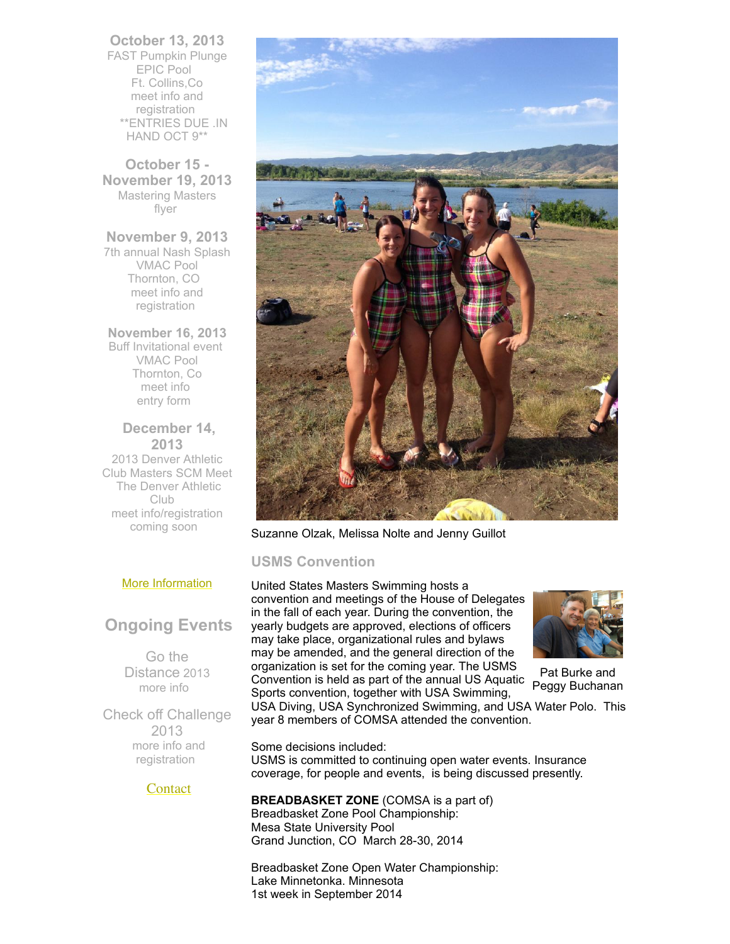**October 13, 2013** FAST Pumpkin Plunge EPIC Pool Ft. Collins,Co meet info and [registration](http://www.usms.org/comp/event.php?MeetID=20131013pumkinS) \*\*ENTRIES DUE .IN HAND OCT 9\*\*

**October 15 - November 19, 2013** Mastering Masters [flyer](https://origin.library.constantcontact.com/doc201/1108936408185/doc/FebNt3tOE3pqSFJ9.pdf)

**November 9, 2013** 7th annual Nash Splash VMAC Pool Thornton, CO meet info and [registration](https://www.clubassistant.com/club/meet.cfm?c=1279&smid=4939)

**November 16, 2013** Buff Invitational event VMAC Pool Thornton, Co [meet](http://www.comsa.org/events/2013%20pool/2013BuffInviteSCY.pdf) info [entry](http://www.comsa.org/leadership/forms-documents/ConsEntry.pdf) form

 **December 14, 2013** 2013 Denver Athletic Club Masters SCM Meet The Denver Athletic Club meet info/registration coming soon

## More [Information](http://www.comsa.org/)

## **Ongoing Events**

Go the Distance 2013 [more](http://www.usms.org/fitness/content/gothedistance) info

Check off Challenge 2013 more info and [registration](http://www.usms.org/fitness/content/checkoff)

## **[Contact](mailto:heidecrino@gmail.com?)**



Suzanne Olzak, Melissa Nolte and Jenny Guillot

## <span id="page-1-0"></span>**USMS Convention**

Convention is held as part of the annual US Aquatic<br>Spects convention, together with USA Swimming United States Masters Swimming hosts a convention and meetings of the House of Delegates in the fall of each year. During the convention, the yearly budgets are approved, elections of officers may take place, organizational rules and bylaws may be amended, and the general direction of the organization is set for the coming year. The USMS Sports convention, together with USA Swimming,



Pat Burke and

USA Diving, USA Synchronized Swimming, and USA Water Polo. This year 8 members of COMSA attended the convention.

Some decisions included: USMS is committed to continuing open water events. Insurance coverage, for people and events, is being discussed presently.

#### **BREADBASKET ZONE** (COMSA is a part of) Breadbasket Zone Pool Championship: Mesa State University Pool Grand Junction, CO March 28-30, 2014

Breadbasket Zone Open Water Championship: Lake Minnetonka. Minnesota 1st week in September 2014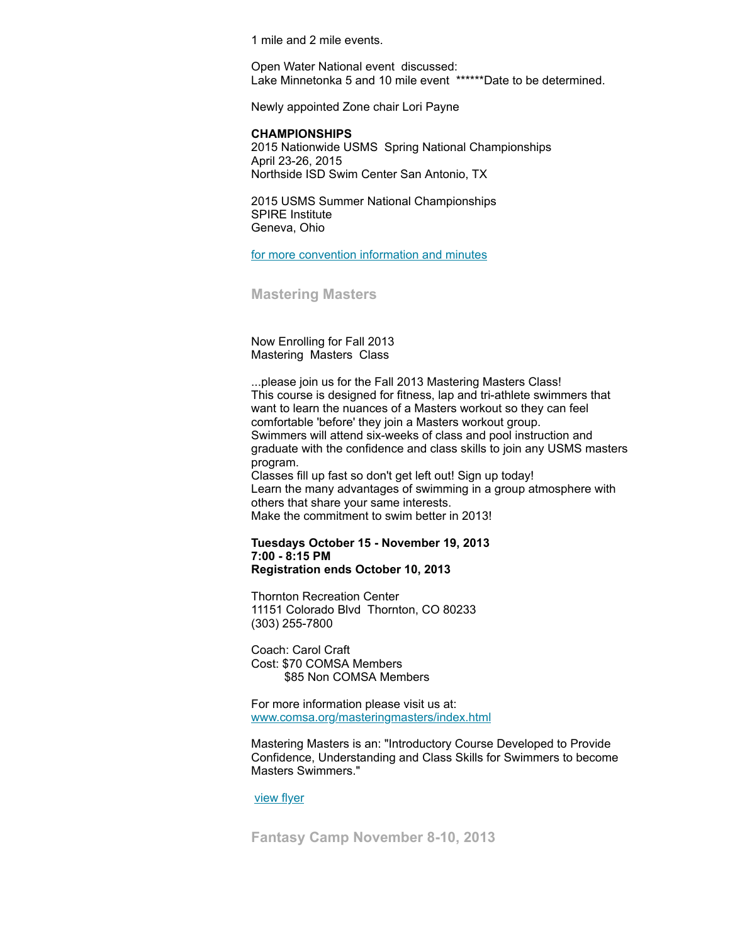1 mile and 2 mile events.

Open Water National event discussed: Lake Minnetonka 5 and 10 mile event \*\*\*\*\*\*Date to be determined.

Newly appointed Zone chair Lori Payne

#### **CHAMPIONSHIPS**

2015 Nationwide USMS Spring National Championships April 23-26, 2015 Northside ISD Swim Center San Antonio, TX

2015 USMS Summer National Championships SPIRE Institute Geneva, Ohio

for more convention [information](http://www.usms.org/admin/conv/?utm_campaign=top_nav&utm_medium=for_volunteers) and minutes

<span id="page-2-0"></span>**Mastering Masters**

Now Enrolling for Fall 2013 Mastering Masters Class

...please join us for the Fall 2013 Mastering Masters Class! This course is designed for fitness, lap and tri-athlete swimmers that want to learn the nuances of a Masters workout so they can feel comfortable 'before' they join a Masters workout group. Swimmers will attend six-weeks of class and pool instruction and graduate with the confidence and class skills to join any USMS masters program. Classes fill up fast so don't get left out! Sign up today! Learn the many advantages of swimming in a group atmosphere with others that share your same interests.

Make the commitment to swim better in 2013!

## **Tuesdays October 15 - November 19, 2013 7:00 - 8:15 PM**

**Registration ends October 10, 2013**

Thornton Recreation Center 11151 Colorado Blvd Thornton, CO 80233 (303) 255-7800

Coach: Carol Craft Cost: \$70 COMSA Members \$85 Non COMSA Members

For more information please visit us at: [www.comsa.org/masteringmasters/index.html](http://www.comsa.org/masteringmasters/index.html)

Mastering Masters is an: "Introductory Course Developed to Provide Confidence, Understanding and Class Skills for Swimmers to become Masters Swimmers."

[view](https://origin.library.constantcontact.com/doc201/1108936408185/doc/FebNt3tOE3pqSFJ9.pdf) flyer

<span id="page-2-1"></span>**Fantasy Camp November 8-10, 2013**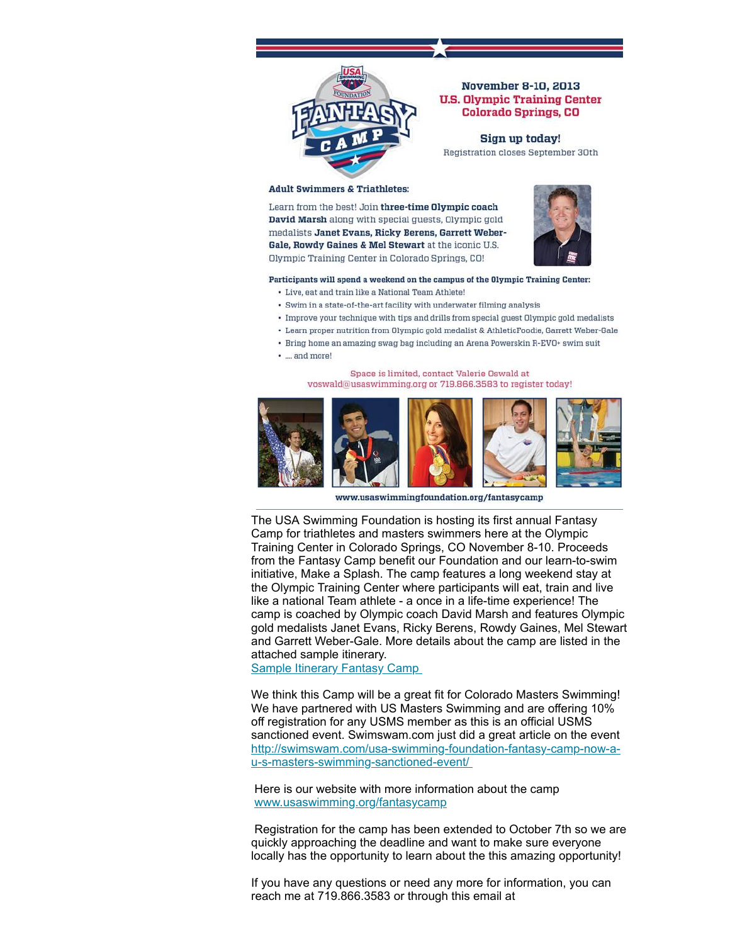

#### November 8-10, 2013 **U.S. Olympic Training Center Colorado Springs, CO**

Sign up today! Registration closes September 30th

#### **Adult Swimmers & Triathletes:**

Learn from the best! Join three-time Olympic coach David Marsh along with special guests, Olympic gold medalists Janet Evans, Ricky Berens, Garrett Weber-Gale, Rowdy Gaines & Mel Stewart at the iconic U.S. Olympic Training Center in Colorado Springs, CO!



#### Participants will spend a weekend on the campus of the Olympic Training Center:

- Live, eat and train like a National Team Athlete!
- · Swim in a state-of-the-art facility with underwater filming analysis
- Improve your technique with tips and drills from special guest Olympic gold medalists
- Learn proper nutrition from Olympic gold medalist & AthleticFoodie, Garrett Weber-Gale
- Bring home an amazing swag bag including an Arena Powerskin R-EVO+ swim suit
- · ... and more!

#### Space is limited, contact Valerie Oswald at voswald@usaswimming.org or 719.866.3583 to register today!



www.usaswimmingfoundation.org/fantasycamp

The USA Swimming Foundation is hosting its first annual Fantasy Camp for triathletes and masters swimmers here at the Olympic Training Center in Colorado Springs, CO November 8-10. Proceeds from the Fantasy Camp benefit our Foundation and our learn-to-swim initiative, Make a Splash. The camp features a long weekend stay at the Olympic Training Center where participants will eat, train and live like a national Team athlete - a once in a life-time experience! The camp is coached by Olympic coach David Marsh and features Olympic gold medalists Janet Evans, Ricky Berens, Rowdy Gaines, Mel Stewart and Garrett Weber-Gale. More details about the camp are listed in the attached sample itinerary.

Sample [Itinerary](https://origin.library.constantcontact.com/doc201/1108936408185/doc/JKqqfUbN5o2MZgo5.pdf) Fantasy Camp

We think this Camp will be a great fit for Colorado Masters Swimming! We have partnered with US Masters Swimming and are offering 10% off registration for any USMS member as this is an official USMS sanctioned event. Swimswam.com just did a great article on the event [http://swimswam.com/usa-swimming-foundation-fantasy-camp-now-a](http://swimswam.com/usa-swimming-foundation-fantasy-camp-now-a-u-s-masters-swimming-sanctioned-event/)u-s-masters-swimming-sanctioned-event/

Here is our website with more information about the camp [www.usaswimming.org/fantasycamp](http://www.usaswimming.org/DesktopDefault.aspx?TabId=2080&Alias=Rainbow&Lang=en)

Registration for the camp has been extended to October 7th so we are quickly approaching the deadline and want to make sure everyone locally has the opportunity to learn about the this amazing opportunity!

If you have any questions or need any more for information, you can reach me at 719.866.3583 or through this email at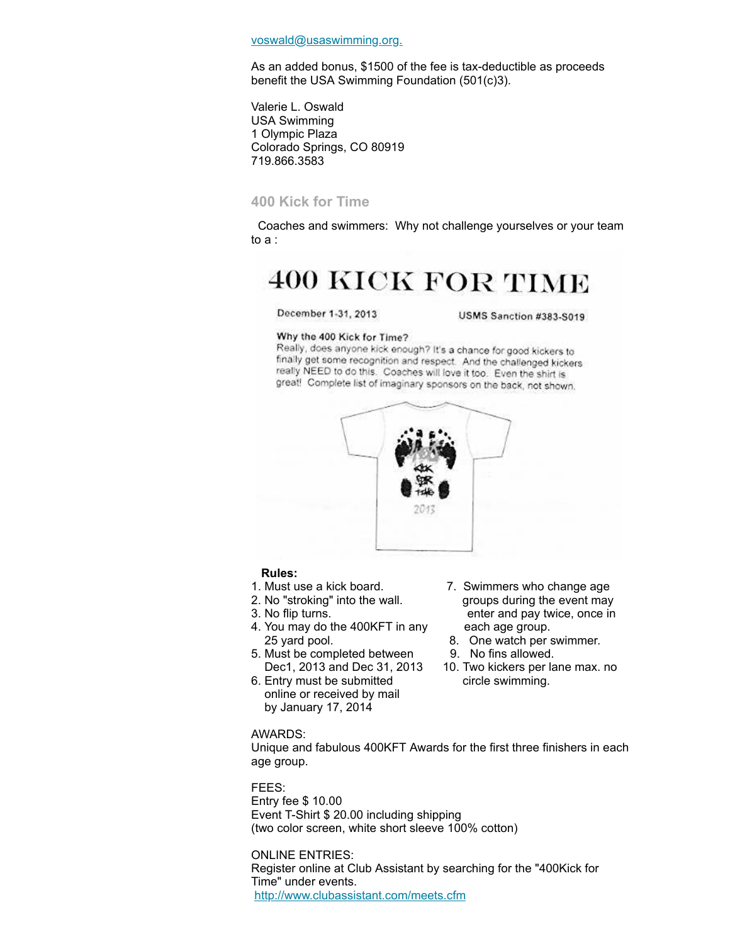[voswald@usaswimming.org.](mailto:voswald@usaswimming.org)

As an added bonus, \$1500 of the fee is tax-deductible as proceeds benefit the USA Swimming Foundation (501(c)3).

Valerie L. Oswald USA Swimming 1 Olympic Plaza Colorado Springs, CO 80919 719.866.3583

#### <span id="page-4-0"></span>**400 Kick for Time**

Coaches and swimmers: Why not challenge yourselves or your team to a :

# **400 KICK FOR TIME**

## December 1-31, 2013

USMS Sanction #383-S019

#### Why the 400 Kick for Time?

Really, does anyone kick enough? It's a chance for good kickers to finally get some recognition and respect. And the challenged kickers really NEED to do this. Coaches will love it too. Even the shirt is great! Complete list of imaginary sponsors on the back, not shown.



#### **Rules:**

- 
- 
- 
- 4. You may do the 400KFT in any each age group. 25 yard pool. **8.** One watch per swimmer.
- 5. Must be completed between 9. No fins allowed.
- 6. Entry must be submitted circle swimming. online or received by mail by January 17, 2014
- 1. Must use a kick board. 7. Swimmers who change age 2. No "stroking" into the wall. groups during the event may 3. No flip turns. enter and pay twice, once in
	-
	-
	- Dec1, 2013 and Dec 31, 2013 10. Two kickers per lane max. no

#### AWARDS:

Unique and fabulous 400KFT Awards for the first three finishers in each age group.

## FEES:

Entry fee \$ 10.00 Event T-Shirt \$ 20.00 including shipping (two color screen, white short sleeve 100% cotton)

ONLINE ENTRIES: Register online at Club Assistant by searching for the "400Kick for Time" under events. <http://www.clubassistant.com/meets.cfm>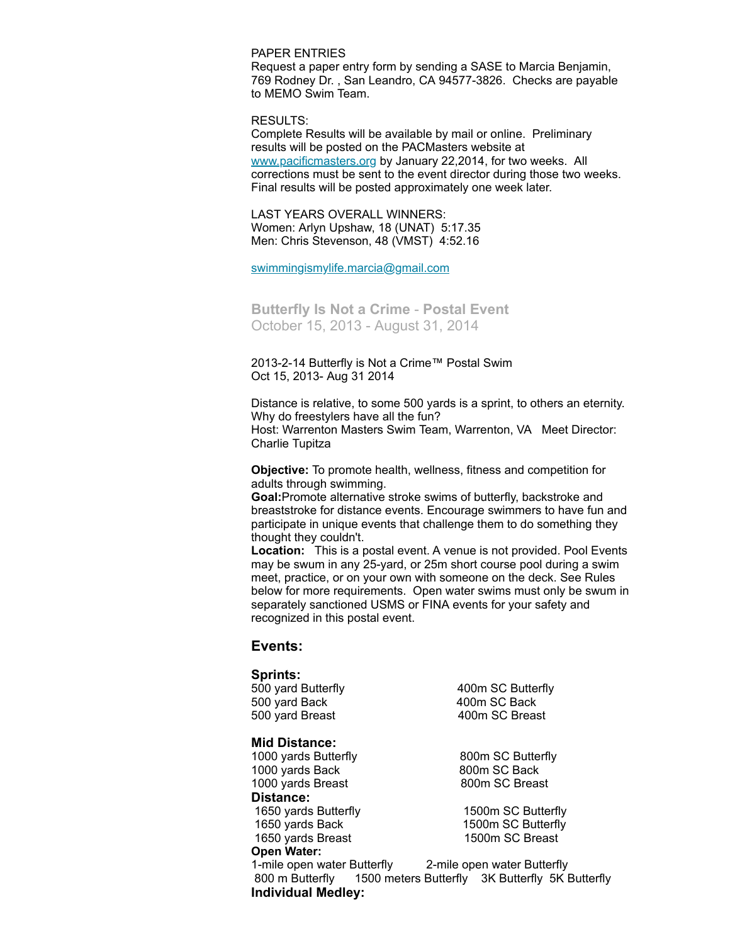PAPER ENTRIES

Request a paper entry form by sending a SASE to Marcia Benjamin, 769 Rodney Dr. , San Leandro, CA 94577-3826. Checks are payable to MEMO Swim Team.

RESULTS:

Complete Results will be available by mail or online. Preliminary results will be posted on the PACMasters website at [www.pacificmasters.org](http://www.pacificmasters.org/) by January 22,2014, for two weeks. All corrections must be sent to the event director during those two weeks. Final results will be posted approximately one week later.

LAST YEARS OVERALL WINNERS: Women: Arlyn Upshaw, 18 (UNAT) 5:17.35 Men: Chris Stevenson, 48 (VMST) 4:52.16

[swimmingismylife.marcia@gmail.com](mailto:swimmingismylife.marcia@gmail.com)

<span id="page-5-0"></span>**Butterfly Is Not a Crime** - **Postal Event**  October 15, 2013 - August 31, 2014

2013-2-14 Butterfly is Not a Crime™ Postal Swim Oct 15, 2013- Aug 31 2014

Distance is relative, to some 500 yards is a sprint, to others an eternity. Why do freestylers have all the fun? Host: Warrenton Masters Swim Team, Warrenton, VA Meet Director: Charlie Tupitza

**Objective:** To promote health, wellness, fitness and competition for adults through swimming.

**Goal:**Promote alternative stroke swims of butterfly, backstroke and breaststroke for distance events. Encourage swimmers to have fun and participate in unique events that challenge them to do something they thought they couldn't.

**Location:** This is a postal event. A venue is not provided. Pool Events may be swum in any 25-yard, or 25m short course pool during a swim meet, practice, or on your own with someone on the deck. See Rules below for more requirements. Open water swims must only be swum in separately sanctioned USMS or FINA events for your safety and recognized in this postal event.

#### **Events:**

## **Sprints:**

500 yard Back 400m SC Back 500 yard Breast 400m SC Breast

#### **Mid Distance:**

1000 yards Butterfly 800m SC Butterfly 1000 yards Back 800m SC Back 1000 yards Breast 800m SC Breast **Distance:** 1650 yards Butterfly 1500m SC Butterfly 1650 yards Back 1500m SC Butterfly 1650 yards Breast 1500m SC Breast **Open Water:**

500 yard Butterfly 400m SC Butterfly

1-mile open water Butterfly 2-mile open water Butterfly 800 m Butterfly 1500 meters Butterfly 3K Butterfly 5K Butterfly **Individual Medley:**